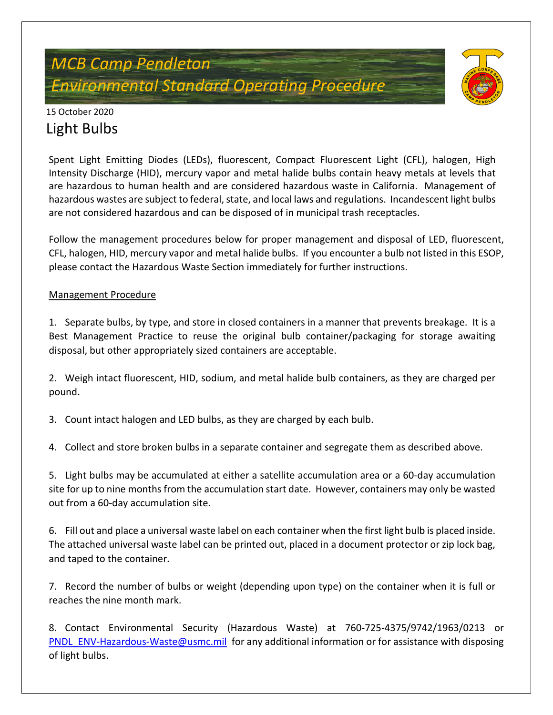# *MCB Camp Pendleton Environmental Standard Operating Procedure*



### 15 October 2020 Light Bulbs

Spent Light Emitting Diodes (LEDs), fluorescent, Compact Fluorescent Light (CFL), halogen, High Intensity Discharge (HID), mercury vapor and metal halide bulbs contain heavy metals at levels that are hazardous to human health and are considered hazardous waste in California. Management of hazardous wastes are subject to federal, state, and local laws and regulations. Incandescent light bulbs are not considered hazardous and can be disposed of in municipal trash receptacles.

Follow the management procedures below for proper management and disposal of LED, fluorescent, CFL, halogen, HID, mercury vapor and metal halide bulbs. If you encounter a bulb not listed in this ESOP, please contact the Hazardous Waste Section immediately for further instructions.

### Management Procedure

1. Separate bulbs, by type, and store in closed containers in a manner that prevents breakage. It is a Best Management Practice to reuse the original bulb container/packaging for storage awaiting disposal, but other appropriately sized containers are acceptable.

2. Weigh intact fluorescent, HID, sodium, and metal halide bulb containers, as they are charged per pound.

3. Count intact halogen and LED bulbs, as they are charged by each bulb.

4. Collect and store broken bulbs in a separate container and segregate them as described above.

5. Light bulbs may be accumulated at either a satellite accumulation area or a 60-day accumulation site for up to nine months from the accumulation start date. However, containers may only be wasted out from a 60-day accumulation site.

6. Fill out and place a universal waste label on each container when the first light bulb is placed inside. The attached universal waste label can be printed out, placed in a document protector or zip lock bag, and taped to the container.

7. Record the number of bulbs or weight (depending upon type) on the container when it is full or reaches the nine month mark.

8. Contact Environmental Security (Hazardous Waste) at 760-725-4375/9742/1963/0213 or PNDL ENV-Hazardous-Waste@usmc.mil for any additional information or for assistance with disposing of light bulbs.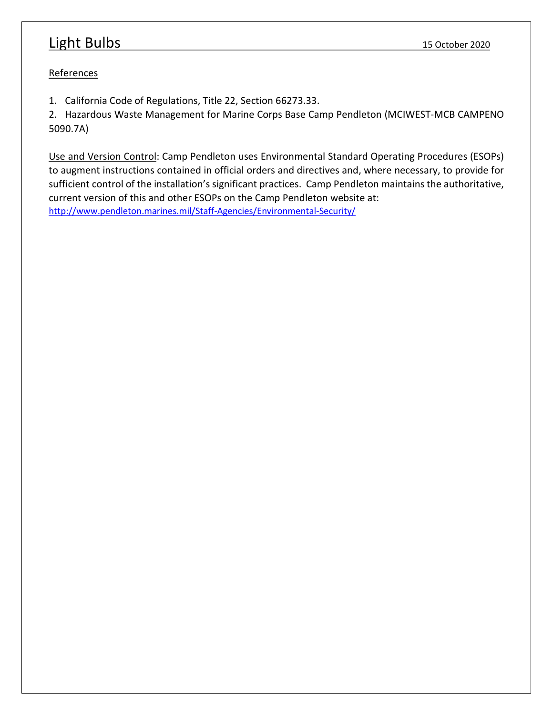## Light Bulbs 15 October 2020

#### **References**

1. California Code of Regulations, Title 22, Section 66273.33.

2. Hazardous Waste Management for Marine Corps Base Camp Pendleton (MCIWEST-MCB CAMPENO 5090.7A)

Use and Version Control: Camp Pendleton uses Environmental Standard Operating Procedures (ESOPs) to augment instructions contained in official orders and directives and, where necessary, to provide for sufficient control of the installation's significant practices. Camp Pendleton maintains the authoritative, current version of this and other ESOPs on the Camp Pendleton website at: <http://www.pendleton.marines.mil/Staff-Agencies/Environmental-Security/>